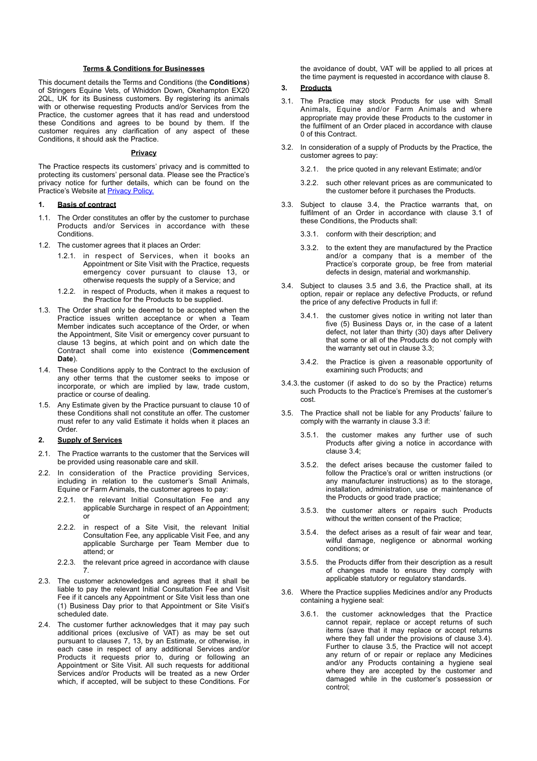#### **Terms & Conditions for Businesses**

This document details the Terms and Conditions (the **Conditions**) of Stringers Equine Vets, of Whiddon Down, Okehampton EX20 2QL, UK for its Business customers. By registering its animals with or otherwise requesting Products and/or Services from the Practice, the customer agrees that it has read and understood these Conditions and agrees to be bound by them. If the customer requires any clarification of any aspect of these Conditions, it should ask the Practice.

#### <span id="page-0-0"></span>**Privacy**

The Practice respects its customers' privacy and is committed to protecting its customers' personal data. Please see the Practice's privacy notice for further details, which can be found on the Practice's Website at **Privacy Policy**.

## <span id="page-0-12"></span>**1. Basis of contract**

- 1.1. The Order constitutes an offer by the customer to purchase Products and/or Services in accordance with these Conditions.
- 1.2. The customer agrees that it places an Order:
	- 1.2.1. in respect of Services, when it books an Appointment or Site Visit with the Practice, requests emergency cover pursuant to clause [13](#page-3-0), or otherwise requests the supply of a Service; and
	- 1.2.2. in respect of Products, when it makes a request to the Practice for the Products to be supplied.
- <span id="page-0-11"></span>1.3. The Order shall only be deemed to be accepted when the Practice issues written acceptance or when a Team Member indicates such acceptance of the Order, or when the Appointment, Site Visit or emergency cover pursuant to clause [13](#page-3-0) begins, at which point and on which date the Contract shall come into existence (**Commencement Date**).
- 1.4. These Conditions apply to the Contract to the exclusion of any other terms that the customer seeks to impose or incorporate, or which are implied by law, trade custom, practice or course of dealing.
- 1.5. Any Estimate given by the Practice pursuant to clause [10](#page-2-0) of these Conditions shall not constitute an offer. The customer must refer to any valid Estimate it holds when it places an Order.

#### <span id="page-0-8"></span>**2. Supply of Services**

- 2.1. The Practice warrants to the customer that the Services will be provided using reasonable care and skill.
- <span id="page-0-10"></span>2.2. In consideration of the Practice providing Services, including in relation to the customer's Small Animals, Equine or Farm Animals, the customer agrees to pay:
	- 2.2.1. the relevant Initial Consultation Fee and any applicable Surcharge in respect of an Appointment; or
	- 2.2.2. in respect of a Site Visit, the relevant Initial Consultation Fee, any applicable Visit Fee, and any applicable Surcharge per Team Member due to attend; or
	- 2.2.3. the relevant price agreed in accordance with clause [7.](#page-2-1)
- <span id="page-0-9"></span>2.3. The customer acknowledges and agrees that it shall be liable to pay the relevant Initial Consultation Fee and Visit Fee if it cancels any Appointment or Site Visit less than one (1) Business Day prior to that Appointment or Site Visit's scheduled date.
- 2.4. The customer further acknowledges that it may pay such additional prices (exclusive of VAT) as may be set out pursuant to clauses [7,](#page-2-1) [13](#page-3-0), by an Estimate, or otherwise, in each case in respect of any additional Services and/or Products it requests prior to, during or following an Appointment or Site Visit. All such requests for additional Services and/or Products will be treated as a new Order which, if accepted, will be subject to these Conditions. For

<span id="page-0-7"></span>the avoidance of doubt, VAT will be applied to all prices at the time payment is requested in accordance with clause [8.](#page-2-2)

# **3. Products**

- <span id="page-0-2"></span>3.1. The Practice may stock Products for use with Small Animals, Equine and/or Farm Animals and where appropriate may provide these Products to the customer in the fulfilment of an Order placed in accordance with clause [0](#page-0-0) of this Contract.
- 3.2. In consideration of a supply of Products by the Practice, the customer agrees to pay:

3.2.1. the price quoted in any relevant Estimate; and/or

- 3.2.2. such other relevant prices as are communicated to the customer before it purchases the Products.
- <span id="page-0-5"></span>3.3. Subject to clause [3.4](#page-0-1), the Practice warrants that, on fulfilment of an Order in accordance with clause [3.1](#page-0-2) of these Conditions, the Products shall:
	- 3.3.1. conform with their description; and
	- 3.3.2. to the extent they are manufactured by the Practice and/or a company that is a member of the Practice's corporate group, be free from material defects in design, material and workmanship.
- <span id="page-0-6"></span><span id="page-0-1"></span>3.4. Subject to clauses [3.5](#page-0-3) and [3.6](#page-0-4), the Practice shall, at its option, repair or replace any defective Products, or refund the price of any defective Products in full if:
	- 3.4.1. the customer gives notice in writing not later than five (5) Business Days or, in the case of a latent defect, not later than thirty (30) days after Delivery that some or all of the Products do not comply with the warranty set out in clause [3.3;](#page-0-5)
	- 3.4.2. the Practice is given a reasonable opportunity of examining such Products; and
- 3.4.3. the customer (if asked to do so by the Practice) returns such Products to the Practice's Premises at the customer's cost.
- <span id="page-0-3"></span>3.5. The Practice shall not be liable for any Products' failure to comply with the warranty in clause [3.3](#page-0-5) if:
	- 3.5.1. the customer makes any further use of such Products after giving a notice in accordance with clause [3.4;](#page-0-6)
	- 3.5.2. the defect arises because the customer failed to follow the Practice's oral or written instructions (or any manufacturer instructions) as to the storage, installation, administration, use or maintenance of the Products or good trade practice;
	- 3.5.3. the customer alters or repairs such Products without the written consent of the Practice;
	- 3.5.4. the defect arises as a result of fair wear and tear, wilful damage, negligence or abnormal working conditions; or
	- 3.5.5. the Products differ from their description as a result of changes made to ensure they comply with applicable statutory or regulatory standards.
- <span id="page-0-4"></span>3.6. Where the Practice supplies Medicines and/or any Products containing a hygiene seal:
	- 3.6.1. the customer acknowledges that the Practice cannot repair, replace or accept returns of such items (save that it may replace or accept returns where they fall under the provisions of clause [3.4\)](#page-0-6). Further to clause [3.5](#page-0-3), the Practice will not accept any return of or repair or replace any Medicines and/or any Products containing a hygiene seal where they are accepted by the customer and damaged while in the customer's possession or control;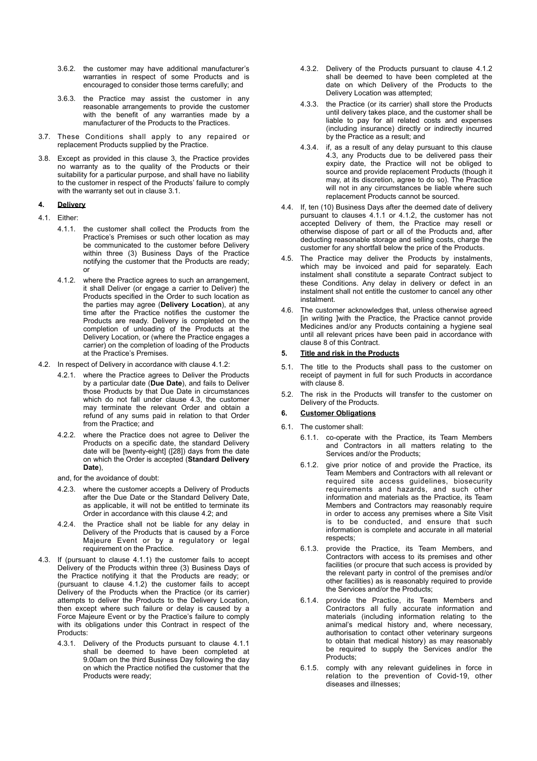- 3.6.2. the customer may have additional manufacturer's warranties in respect of some Products and is encouraged to consider those terms carefully; and
- 3.6.3. the Practice may assist the customer in any reasonable arrangements to provide the customer with the benefit of any warranties made by a manufacturer of the Products to the Practices.
- 3.7. These Conditions shall apply to any repaired or replacement Products supplied by the Practice.
- 3.8. Except as provided in this clause [3,](#page-0-7) the Practice provides no warranty as to the quality of the Products or their suitability for a particular purpose, and shall have no liability to the customer in respect of the Products' failure to comply with the warranty set out in clause [3.1.](#page-0-2)
- **4. Delivery**
- <span id="page-1-3"></span><span id="page-1-0"></span>4.1. Either:
	- 4.1.1. the customer shall collect the Products from the Practice's Premises or such other location as may be communicated to the customer before Delivery within three (3) Business Days of the Practice notifying the customer that the Products are ready; or
	- 4.1.2. where the Practice agrees to such an arrangement, it shall Deliver (or engage a carrier to Deliver) the Products specified in the Order to such location as the parties may agree (**Delivery Location**), at any time after the Practice notifies the customer the Products are ready. Delivery is completed on the completion of unloading of the Products at the Delivery Location, or (where the Practice engages a carrier) on the completion of loading of the Products at the Practice's Premises.
- <span id="page-1-6"></span><span id="page-1-2"></span>4.2. In respect of Delivery in accordance with clause [4.1.2:](#page-1-0)
	- 4.2.1. where the Practice agrees to Deliver the Products by a particular date (**Due Date**), and fails to Deliver those Products by that Due Date in circumstances which do not fall under clause [4.3,](#page-1-1) the customer may terminate the relevant Order and obtain a refund of any sums paid in relation to that Order from the Practice; and
	- 4.2.2. where the Practice does not agree to Deliver the Products on a specific date, the standard Delivery date will be [twenty-eight] ([28]) days from the date on which the Order is accepted (**Standard Delivery Date**),

<span id="page-1-7"></span>and, for the avoidance of doubt:

- 4.2.3. where the customer accepts a Delivery of Products after the Due Date or the Standard Delivery Date, as applicable, it will not be entitled to terminate its Order in accordance with this clause [4.2](#page-1-2); and
- 4.2.4. the Practice shall not be liable for any delay in Delivery of the Products that is caused by a Force Majeure Event or by a regulatory or legal requirement on the Practice.
- <span id="page-1-1"></span>4.3. If (pursuant to clause [4.1.1](#page-1-3)) the customer fails to accept Delivery of the Products within three (3) Business Days of the Practice notifying it that the Products are ready; or (pursuant to clause [4.1.2](#page-1-0)) the customer fails to accept Delivery of the Products when the Practice (or its carrier) attempts to deliver the Products to the Delivery Location, then except where such failure or delay is caused by a Force Majeure Event or by the Practice's failure to comply with its obligations under this Contract in respect of the Products:
	- 4.3.1. Delivery of the Products pursuant to clause [4.1.1](#page-1-3) shall be deemed to have been completed at 9.00am on the third Business Day following the day on which the Practice notified the customer that the Products were ready;
- 4.3.2. Delivery of the Products pursuant to clause [4.1.2](#page-1-0) shall be deemed to have been completed at the date on which Delivery of the Products to the Delivery Location was attempted;
- 4.3.3. the Practice (or its carrier) shall store the Products until delivery takes place, and the customer shall be liable to pay for all related costs and expenses (including insurance) directly or indirectly incurred by the Practice as a result; and
- 4.3.4. if, as a result of any delay pursuant to this clause [4.3](#page-1-1), any Products due to be delivered pass their expiry date, the Practice will not be obliged to source and provide replacement Products (though it may, at its discretion, agree to do so). The Practice will not in any circumstances be liable where such replacement Products cannot be sourced.
- 4.4. If, ten (10) Business Days after the deemed date of delivery pursuant to clauses [4.1.1](#page-1-3) or [4.1.2,](#page-1-0) the customer has not accepted Delivery of them, the Practice may resell or otherwise dispose of part or all of the Products and, after deducting reasonable storage and selling costs, charge the customer for any shortfall below the price of the Products.
- 4.5. The Practice may deliver the Products by instalments, which may be invoiced and paid for separately. Each instalment shall constitute a separate Contract subject to these Conditions. Any delay in delivery or defect in an instalment shall not entitle the customer to cancel any other instalment.
- <span id="page-1-5"></span>4.6. The customer acknowledges that, unless otherwise agreed [in writing ]with the Practice, the Practice cannot provide Medicines and/or any Products containing a hygiene seal until all relevant prices have been paid in accordance with clause [8](#page-2-3) of this Contract.

## **5. Title and risk in the Products**

- 5.1. The title to the Products shall pass to the customer on receipt of payment in full for such Products in accordance with clause [8](#page-2-4).
- 5.2. The risk in the Products will transfer to the customer on Delivery of the Products.

## <span id="page-1-4"></span>**6. Customer Obligations**

- 6.1. The customer shall:
	- 6.1.1. co-operate with the Practice, its Team Members and Contractors in all matters relating to the Services and/or the Products;
	- 6.1.2. give prior notice of and provide the Practice, its Team Members and Contractors with all relevant or required site access guidelines, biosecurity requirements and hazards, and such other information and materials as the Practice, its Team Members and Contractors may reasonably require in order to access any premises where a Site Visit is to be conducted, and ensure that such information is complete and accurate in all material respects;
	- 6.1.3. provide the Practice, its Team Members, and Contractors with access to its premises and other facilities (or procure that such access is provided by the relevant party in control of the premises and/or other facilities) as is reasonably required to provide the Services and/or the Products;
	- 6.1.4. provide the Practice, its Team Members and Contractors all fully accurate information and materials (including information relating to the animal's medical history and, where necessary, authorisation to contact other veterinary surgeons to obtain that medical history) as may reasonably be required to supply the Services and/or the Products;
	- 6.1.5. comply with any relevant guidelines in force in relation to the prevention of Covid-19, other diseases and illnesses;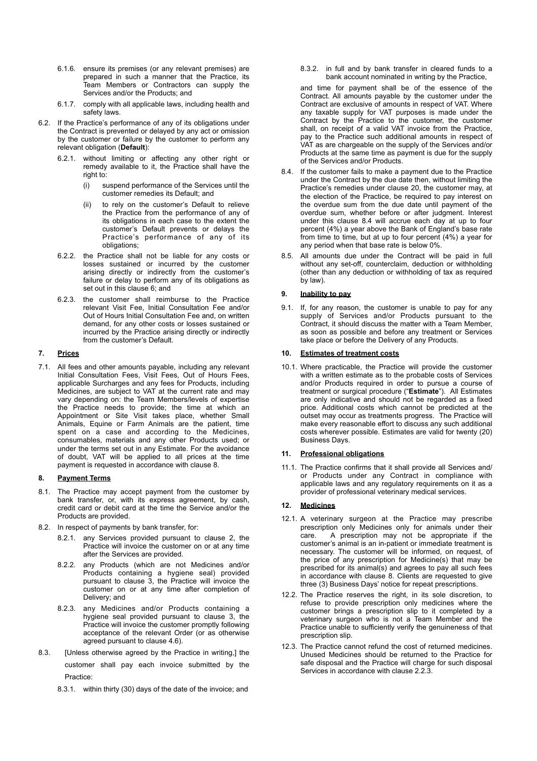- 6.1.6. ensure its premises (or any relevant premises) are prepared in such a manner that the Practice, its Team Members or Contractors can supply the Services and/or the Products; and
- 6.1.7. comply with all applicable laws, including health and safety laws.
- 6.2. If the Practice's performance of any of its obligations under the Contract is prevented or delayed by any act or omission by the customer or failure by the customer to perform any relevant obligation (**Default**):
	- 6.2.1. without limiting or affecting any other right or remedy available to it, the Practice shall have the right to:
		- (i) suspend performance of the Services until the customer remedies its Default; and
		- (ii) to rely on the customer's Default to relieve the Practice from the performance of any of its obligations in each case to the extent the customer's Default prevents or delays the Practice's performance of any of its obligations;
	- 6.2.2. the Practice shall not be liable for any costs or losses sustained or incurred by the customer arising directly or indirectly from the customer's failure or delay to perform any of its obligations as set out in this clause [6](#page-1-4); and
	- 6.2.3. the customer shall reimburse to the Practice relevant Visit Fee, Initial Consultation Fee and/or Out of Hours Initial Consultation Fee and, on written demand, for any other costs or losses sustained or incurred by the Practice arising directly or indirectly from the customer's Default.

# <span id="page-2-1"></span>**7. Prices**

7.1. All fees and other amounts payable, including any relevant Initial Consultation Fees, Visit Fees, Out of Hours Fees, applicable Surcharges and any fees for Products, including Medicines, are subject to VAT at the current rate and may vary depending on: the Team Members/levels of expertise the Practice needs to provide; the time at which an Appointment or Site Visit takes place, whether Small Animals, Equine or Farm Animals are the patient, time spent on a case and according to the Medicines, consumables, materials and any other Products used; or under the terms set out in any Estimate. For the avoidance of doubt, VAT will be applied to all prices at the time payment is requested in accordance with clause [8.](#page-2-2)

### <span id="page-2-8"></span><span id="page-2-7"></span><span id="page-2-6"></span><span id="page-2-4"></span><span id="page-2-3"></span><span id="page-2-2"></span>**8. Payment Terms**

- 8.1. The Practice may accept payment from the customer by bank transfer, or, with its express agreement, by cash, credit card or debit card at the time the Service and/or the Products are provided.
- 8.2. In respect of payments by bank transfer, for:
	- 8.2.1. any Services provided pursuant to clause [2,](#page-0-8) the Practice will invoice the customer on or at any time after the Services are provided.
	- 8.2.2. any Products (which are not Medicines and/or Products containing a hygiene seal) provided pursuant to clause [3,](#page-0-7) the Practice will invoice the customer on or at any time after completion of Delivery; and
	- 8.2.3. any Medicines and/or Products containing a hygiene seal provided pursuant to clause [3](#page-0-7), the Practice will invoice the customer promptly following acceptance of the relevant Order (or as otherwise agreed pursuant to clause [4.6](#page-1-5)).
- 8.3. [Unless otherwise agreed by the Practice in writing,] the customer shall pay each invoice submitted by the Practice:
	- 8.3.1. within thirty (30) days of the date of the invoice; and

8.3.2. in full and by bank transfer in cleared funds to a bank account nominated in writing by the Practice,

and time for payment shall be of the essence of the Contract. All amounts payable by the customer under the Contract are exclusive of amounts in respect of VAT. Where any taxable supply for VAT purposes is made under the Contract by the Practice to the customer, the customer shall, on receipt of a valid VAT invoice from the Practice, pay to the Practice such additional amounts in respect of VAT as are chargeable on the supply of the Services and/or Products at the same time as payment is due for the supply of the Services and/or Products.

- <span id="page-2-5"></span>8.4. If the customer fails to make a payment due to the Practice under the Contract by the due date then, without limiting the Practice's remedies under clause [20](#page-4-0), the customer may, at the election of the Practice, be required to pay interest on the overdue sum from the due date until payment of the overdue sum, whether before or after judgment. Interest under this clause [8.4](#page-2-5) will accrue each day at up to four percent (4%) a year above the Bank of England's base rate from time to time, but at up to four percent  $(4%)$  a vear for any period when that base rate is below 0%.
- 8.5. All amounts due under the Contract will be paid in full without any set-off, counterclaim, deduction or withholding (other than any deduction or withholding of tax as required by law).

## **9. Inability to pay**

9.1. If, for any reason, the customer is unable to pay for any supply of Services and/or Products pursuant to the Contract, it should discuss the matter with a Team Member, as soon as possible and before any treatment or Services take place or before the Delivery of any Products.

#### <span id="page-2-0"></span>**10. Estimates of treatment costs**

<span id="page-2-9"></span>10.1. Where practicable, the Practice will provide the customer with a written estimate as to the probable costs of Services and/or Products required in order to pursue a course of treatment or surgical procedure ("**Estimate**"). All Estimates are only indicative and should not be regarded as a fixed price. Additional costs which cannot be predicted at the outset may occur as treatments progress. The Practice will make every reasonable effort to discuss any such additional costs wherever possible. Estimates are valid for twenty (20) Business Days.

## **11. Professional obligations**

11.1. The Practice confirms that it shall provide all Services and/ or Products under any Contract in compliance with applicable laws and any regulatory requirements on it as a provider of professional veterinary medical services.

## **12. Medicines**

- 12.1. A veterinary surgeon at the Practice may prescribe prescription only Medicines only for animals under their care. A prescription may not be appropriate if the customer's animal is an in-patient or immediate treatment is necessary. The customer will be informed, on request, of the price of any prescription for Medicine(s) that may be prescribed for its animal(s) and agrees to pay all such fees in accordance with clause [8.](#page-2-6) Clients are requested to give three (3) Business Days' notice for repeat prescriptions.
- 12.2. The Practice reserves the right, in its sole discretion, to refuse to provide prescription only medicines where the customer brings a prescription slip to it completed by a veterinary surgeon who is not a Team Member and the Practice unable to sufficiently verify the genuineness of that prescription slip.
- 12.3. The Practice cannot refund the cost of returned medicines. Unused Medicines should be returned to the Practice for safe disposal and the Practice will charge for such disposal Services in accordance with clause [2.2.3](#page-0-9).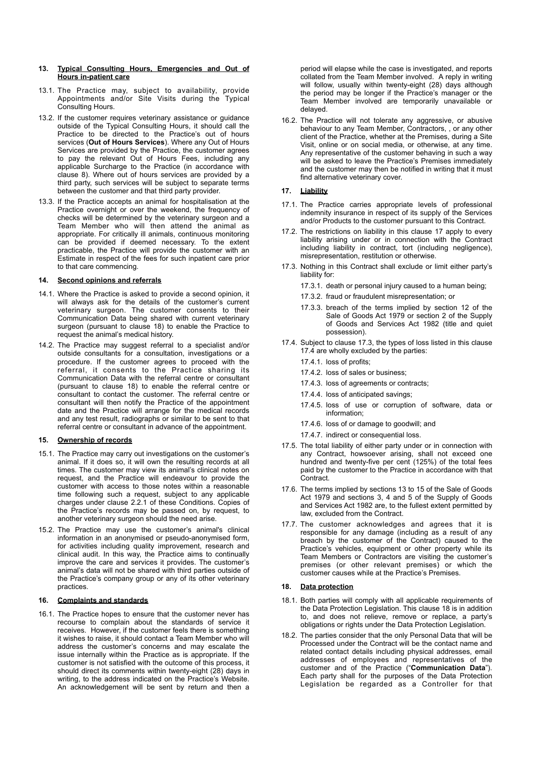#### <span id="page-3-0"></span>**13. Typical Consulting Hours, Emergencies and Out of Hours in-patient care**

- 13.1. The Practice may, subject to availability, provide Appointments and/or Site Visits during the Typical Consulting Hours.
- <span id="page-3-5"></span>13.2. If the customer requires veterinary assistance or guidance outside of the Typical Consulting Hours, it should call the Practice to be directed to the Practice's out of hours services (**Out of Hours Services**). Where any Out of Hours Services are provided by the Practice, the customer agrees to pay the relevant Out of Hours Fees, including any applicable Surcharge to the Practice (in accordance with clause [8\)](#page-2-7). Where out of hours services are provided by a third party, such services will be subject to separate terms between the customer and that third party provider.
- 13.3. If the Practice accepts an animal for hospitalisation at the Practice overnight or over the weekend, the frequency of checks will be determined by the veterinary surgeon and a Team Member who will then attend the animal as appropriate. For critically ill animals, continuous monitoring can be provided if deemed necessary. To the extent practicable, the Practice will provide the customer with an Estimate in respect of the fees for such inpatient care prior to that care commencing.

#### **14. Second opinions and referrals**

- 14.1. Where the Practice is asked to provide a second opinion, it will always ask for the details of the customer's current veterinary surgeon. The customer consents to their Communication Data being shared with current veterinary surgeon (pursuant to clause [18](#page-3-1)) to enable the Practice to request the animal's medical history.
- 14.2. The Practice may suggest referral to a specialist and/or outside consultants for a consultation, investigations or a procedure. If the customer agrees to proceed with the referral, it consents to the Practice sharing its Communication Data with the referral centre or consultant (pursuant to clause [18\)](#page-3-1) to enable the referral centre or consultant to contact the customer. The referral centre or consultant will then notify the Practice of the appointment date and the Practice will arrange for the medical records and any test result, radiographs or similar to be sent to that referral centre or consultant in advance of the appointment.

#### **15. Ownership of records**

- 15.1. The Practice may carry out investigations on the customer's animal. If it does so, it will own the resulting records at all times. The customer may view its animal's clinical notes on request, and the Practice will endeavour to provide the customer with access to those notes within a reasonable time following such a request, subject to any applicable charges under clause [2.2.1](#page-0-10) of these Conditions. Copies of the Practice's records may be passed on, by request, to another veterinary surgeon should the need arise.
- 15.2. The Practice may use the customer's animal's clinical information in an anonymised or pseudo-anonymised form, for activities including quality improvement, research and clinical audit. In this way, the Practice aims to continually improve the care and services it provides. The customer's animal's data will not be shared with third parties outside of the Practice's company group or any of its other veterinary practices.

#### **16. Complaints and standards**

16.1. The Practice hopes to ensure that the customer never has recourse to complain about the standards of service it receives. However, if the customer feels there is something it wishes to raise, it should contact a Team Member who will address the customer's concerns and may escalate the issue internally within the Practice as is appropriate. If the customer is not satisfied with the outcome of this process, it should direct its comments within twenty-eight (28) days in writing, to the address indicated on the Practice's Website. An acknowledgement will be sent by return and then a

period will elapse while the case is investigated, and reports collated from the Team Member involved. A reply in writing will follow, usually within twenty-eight (28) days although the period may be longer if the Practice's manager or the Team Member involved are temporarily unavailable or delayed.

16.2. The Practice will not tolerate any aggressive, or abusive behaviour to any Team Member, Contractors, , or any other client of the Practice, whether at the Premises, during a Site Visit, online or on social media, or otherwise, at any time. Any representative of the customer behaving in such a way will be asked to leave the Practice's Premises immediately and the customer may then be notified in writing that it must find alternative veterinary cover.

## <span id="page-3-2"></span>**17. Liability**

- 17.1. The Practice carries appropriate levels of professional indemnity insurance in respect of its supply of the Services and/or Products to the customer pursuant to this Contract.
- 17.2. The restrictions on liability in this clause [17](#page-3-2) apply to every liability arising under or in connection with the Contract including liability in contract, tort (including negligence), misrepresentation, restitution or otherwise.
- <span id="page-3-3"></span>17.3. Nothing in this Contract shall exclude or limit either party's liability for:
	- 17.3.1. death or personal injury caused to a human being;
	- 17.3.2. fraud or fraudulent misrepresentation; or
	- 17.3.3. breach of the terms implied by section 12 of the Sale of Goods Act 1979 or section 2 of the Supply of Goods and Services Act 1982 (title and quiet possession).
- <span id="page-3-4"></span>17.4. Subject to clause [17.3](#page-3-3), the types of loss listed in this clause [17.4](#page-3-4) are wholly excluded by the parties:
	- 17.4.1. loss of profits;
	- 17.4.2. loss of sales or business;
	- 17.4.3. loss of agreements or contracts;
	- 17.4.4. loss of anticipated savings;
	- 17.4.5. loss of use or corruption of software, data or information;
	- 17.4.6. loss of or damage to goodwill; and
	- 17.4.7. indirect or consequential loss.
- 17.5. The total liability of either party under or in connection with any Contract, howsoever arising, shall not exceed one hundred and twenty-five per cent (125%) of the total fees paid by the customer to the Practice in accordance with that Contract.
- 17.6. The terms implied by sections 13 to 15 of the Sale of Goods Act 1979 and sections 3, 4 and 5 of the Supply of Goods and Services Act 1982 are, to the fullest extent permitted by law, excluded from the Contract.
- 17.7. The customer acknowledges and agrees that it is responsible for any damage (including as a result of any breach by the customer of the Contract) caused to the Practice's vehicles, equipment or other property while its Team Members or Contractors are visiting the customer's premises (or other relevant premises) or which the customer causes while at the Practice's Premises.

#### <span id="page-3-1"></span>**18. Data protection**

- 18.1. Both parties will comply with all applicable requirements of the Data Protection Legislation. This clause [18](#page-3-1) is in addition to, and does not relieve, remove or replace, a party's obligations or rights under the Data Protection Legislation.
- 18.2. The parties consider that the only Personal Data that will be Processed under the Contract will be the contact name and related contact details including physical addresses, email addresses of employees and representatives of the customer and of the Practice ("**Communication Data**"). Each party shall for the purposes of the Data Protection Legislation be regarded as a Controller for that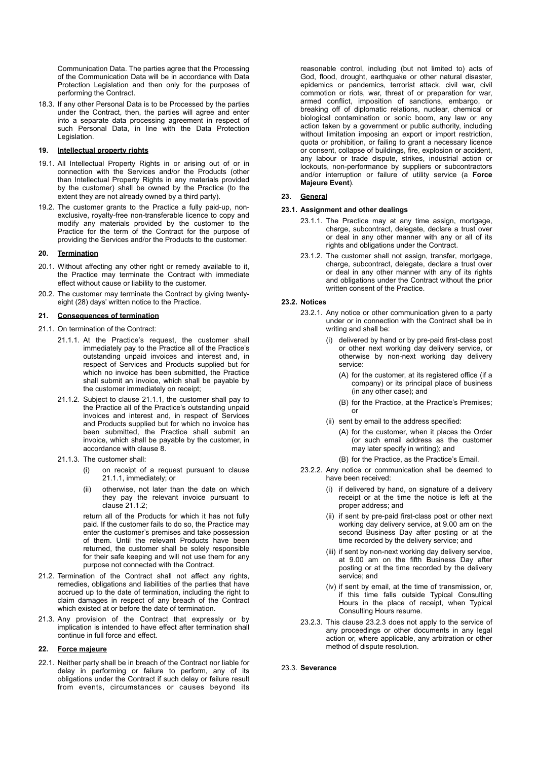Communication Data. The parties agree that the Processing of the Communication Data will be in accordance with Data Protection Legislation and then only for the purposes of performing the Contract.

18.3. If any other Personal Data is to be Processed by the parties under the Contract, then, the parties will agree and enter into a separate data processing agreement in respect of such Personal Data, in line with the Data Protection Legislation.

### **19. Intellectual property rights**

- 19.1. All Intellectual Property Rights in or arising out of or in connection with the Services and/or the Products (other than Intellectual Property Rights in any materials provided by the customer) shall be owned by the Practice (to the extent they are not already owned by a third party).
- 19.2. The customer grants to the Practice a fully paid-up, nonexclusive, royalty-free non-transferable licence to copy and modify any materials provided by the customer to the Practice for the term of the Contract for the purpose of providing the Services and/or the Products to the customer.

## <span id="page-4-0"></span>**20. Termination**

- 20.1. Without affecting any other right or remedy available to it, the Practice may terminate the Contract with immediate effect without cause or liability to the customer.
- 20.2. The customer may terminate the Contract by giving twentyeight (28) days' written notice to the Practice.

#### **21. Consequences of termination**

- <span id="page-4-3"></span><span id="page-4-2"></span><span id="page-4-1"></span>21.1. On termination of the Contract:
	- 21.1.1. At the Practice's request, the customer shall immediately pay to the Practice all of the Practice's outstanding unpaid invoices and interest and, in respect of Services and Products supplied but for which no invoice has been submitted, the Practice shall submit an invoice, which shall be payable by the customer immediately on receipt;
	- 21.1.2. Subject to clause [21.1.1,](#page-4-1) the customer shall pay to the Practice all of the Practice's outstanding unpaid invoices and interest and, in respect of Services and Products supplied but for which no invoice has been submitted, the Practice shall submit an invoice, which shall be payable by the customer, in accordance with clause [8](#page-2-8).
	- 21.1.3. The customer shall:
		- (i) on receipt of a request pursuant to clause [21.1.1,](#page-4-2) immediately; or
		- otherwise, not later than the date on which they pay the relevant invoice pursuant to clause  $21.1.2$ ;

return all of the Products for which it has not fully paid. If the customer fails to do so, the Practice may enter the customer's premises and take possession of them. Until the relevant Products have been returned, the customer shall be solely responsible for their safe keeping and will not use them for any purpose not connected with the Contract.

- 21.2. Termination of the Contract shall not affect any rights, remedies, obligations and liabilities of the parties that have accrued up to the date of termination, including the right to claim damages in respect of any breach of the Contract which existed at or before the date of termination.
- 21.3. Any provision of the Contract that expressly or by implication is intended to have effect after termination shall continue in full force and effect.

## <span id="page-4-5"></span>**22. Force majeure**

22.1. Neither party shall be in breach of the Contract nor liable for delay in performing or failure to perform, any of its obligations under the Contract if such delay or failure result from events, circumstances or causes beyond its reasonable control, including (but not limited to) acts of God, flood, drought, earthquake or other natural disaster epidemics or pandemics, terrorist attack, civil war, civil commotion or riots, war, threat of or preparation for war, armed conflict, imposition of sanctions, embargo, or breaking off of diplomatic relations, nuclear, chemical or biological contamination or sonic boom, any law or any action taken by a government or public authority, including without limitation imposing an export or import restriction, quota or prohibition, or failing to grant a necessary licence or consent, collapse of buildings, fire, explosion or accident, any labour or trade dispute, strikes, industrial action or lockouts, non-performance by suppliers or subcontractors and/or interruption or failure of utility service (a **Force Majeure Event**).

## **23. General**

#### **23.1. Assignment and other dealings**

- 23.1.1. The Practice may at any time assign, mortgage, charge, subcontract, delegate, declare a trust over or deal in any other manner with any or all of its rights and obligations under the Contract.
- 23.1.2. The customer shall not assign, transfer, mortgage, charge, subcontract, delegate, declare a trust over or deal in any other manner with any of its rights and obligations under the Contract without the prior written consent of the Practice.

## **23.2. Notices**

- 23.2.1. Any notice or other communication given to a party under or in connection with the Contract shall be in writing and shall be:
	- (i) delivered by hand or by pre-paid first-class post or other next working day delivery service, or otherwise by non-next working day delivery service:
		- (A) for the customer, at its registered office (if a company) or its principal place of business (in any other case); and
		- (B) for the Practice, at the Practice's Premises; or
	- (ii) sent by email to the address specified:
		- (A) for the customer, when it places the Order (or such email address as the customer may later specify in writing); and
		- (B) for the Practice, as the Practice's Email.
- 23.2.2. Any notice or communication shall be deemed to have been received:
	- (i) if delivered by hand, on signature of a delivery receipt or at the time the notice is left at the proper address; and
	- (ii) if sent by pre-paid first-class post or other next working day delivery service, at 9.00 am on the second Business Day after posting or at the time recorded by the delivery service; and
	- (iii) if sent by non-next working day delivery service, at 9.00 am on the fifth Business Day after posting or at the time recorded by the delivery service; and
	- (iv) if sent by email, at the time of transmission, or, if this time falls outside Typical Consulting Hours in the place of receipt, when Typical Consulting Hours resume.
- <span id="page-4-4"></span>23.2.3. This clause [23.2.3](#page-4-4) does not apply to the service of any proceedings or other documents in any legal action or, where applicable, any arbitration or other method of dispute resolution.

23.3. **Severance**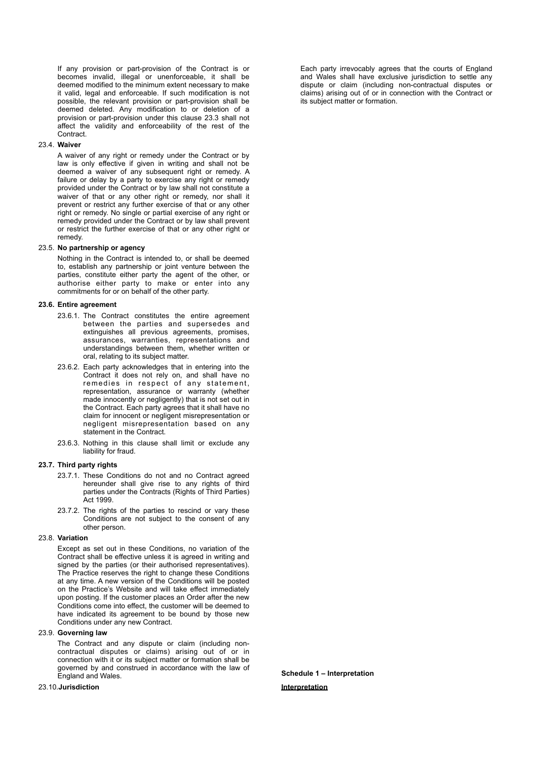If any provision or part-provision of the Contract is or becomes invalid, illegal or unenforceable, it shall be deemed modified to the minimum extent necessary to make it valid, legal and enforceable. If such modification is not possible, the relevant provision or part-provision shall be deemed deleted. Any modification to or deletion of a provision or part-provision under this clause [23.3](#page-5-0) shall not affect the validity and enforceability of the rest of the **Contract** 

### 23.4. **Waiver**

A waiver of any right or remedy under the Contract or by law is only effective if given in writing and shall not be deemed a waiver of any subsequent right or remedy. A failure or delay by a party to exercise any right or remedy provided under the Contract or by law shall not constitute a waiver of that or any other right or remedy, nor shall it prevent or restrict any further exercise of that or any other right or remedy. No single or partial exercise of any right or remedy provided under the Contract or by law shall prevent or restrict the further exercise of that or any other right or remedy.

#### 23.5. **No partnership or agency**

Nothing in the Contract is intended to, or shall be deemed to, establish any partnership or joint venture between the parties, constitute either party the agent of the other, or authorise either party to make or enter into any commitments for or on behalf of the other party.

#### **23.6. Entire agreement**

- 23.6.1. The Contract constitutes the entire agreement between the parties and supersedes and extinguishes all previous agreements, promises, assurances, warranties, representations and understandings between them, whether written or oral, relating to its subject matter.
- 23.6.2. Each party acknowledges that in entering into the Contract it does not rely on, and shall have no remedies in respect of any statement, representation, assurance or warranty (whether made innocently or negligently) that is not set out in the Contract. Each party agrees that it shall have no claim for innocent or negligent misrepresentation or negligent misrepresentation based on any statement in the Contract.
- 23.6.3. Nothing in this clause shall limit or exclude any liability for fraud.

## **23.7. Third party rights**

- 23.7.1. These Conditions do not and no Contract agreed hereunder shall give rise to any rights of third parties under the Contracts (Rights of Third Parties) Act 1999.
- 23.7.2. The rights of the parties to rescind or vary these Conditions are not subject to the consent of any other person.

# 23.8. **Variation**

Except as set out in these Conditions, no variation of the Contract shall be effective unless it is agreed in writing and signed by the parties (or their authorised representatives). The Practice reserves the right to change these Conditions at any time. A new version of the Conditions will be posted on the Practice's Website and will take effect immediately upon posting. If the customer places an Order after the new Conditions come into effect, the customer will be deemed to have indicated its agreement to be bound by those new Conditions under any new Contract.

## 23.9. **Governing law**

The Contract and any dispute or claim (including noncontractual disputes or claims) arising out of or in connection with it or its subject matter or formation shall be governed by and construed in accordance with the law of England and Wales.

#### <span id="page-5-0"></span>23.10.**Jurisdiction**

Each party irrevocably agrees that the courts of England and Wales shall have exclusive jurisdiction to settle any dispute or claim (including non-contractual disputes or claims) arising out of or in connection with the Contract or its subject matter or formation.

**Schedule 1 – Interpretation Interpretation**